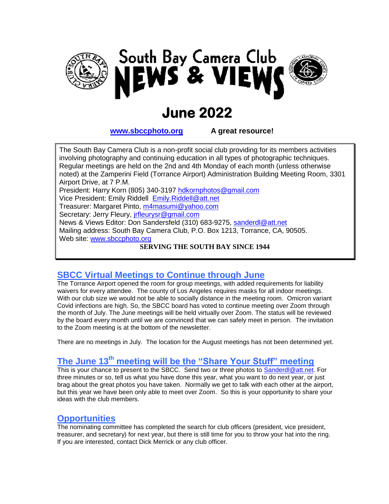



# **June 2022**

**www.sbccphoto.org A great resource!**

The South Bay Camera Club is a non-profit social club providing for its members activities involving photography and continuing education in all types of photographic techniques. Regular meetings are held on the 2nd and 4th Monday of each month (unless otherwise noted) at the Zamperini Field (Torrance Airport) Administration Building Meeting Room, 3301 Airport Drive, at 7 P.M. President: Harry Korn (805) 340-3197 hdkornphotos@gmail.com Vice President: Emily Riddell Emily.Riddell@att.net Treasurer: Margaret Pinto, m4masumi@yahoo.com Secretary: Jerry Fleury, *irfleurysr@gmail.com* News & Views Editor: Don Sandersfeld (310) 683-9275, sanderdl@att.net Mailing address: South Bay Camera Club, P.O. Box 1213, Torrance, CA, 90505. Web site: www.sbccphoto.org

**SERVING THE SOUTH BAY SINCE 1944**

## **SBCC Virtual Meetings to Continue through June**

The Torrance Airport opened the room for group meetings, with added requirements for liability waivers for every attendee. The county of Los Angeles requires masks for all indoor meetings. With our club size we would not be able to socially distance in the meeting room. Omicron variant Covid infections are high. So, the SBCC board has voted to continue meeting over Zoom through the month of July. The June meetings will be held virtually over Zoom. The status will be reviewed by the board every month until we are convinced that we can safely meet in person. The invitation to the Zoom meeting is at the bottom of the newsletter.

There are no meetings in July. The location for the August meetings has not been determined yet.

## **The June 13 th meeting will be the "Share Your Stuff" meeting**

This is your chance to present to the SBCC. Send two or three photos to [Sanderdl@att.net.](mailto:Sanderdl@att.net) For three minutes or so, tell us what you have done this year, what you want to do next year, or just brag about the great photos you have taken. Normally we get to talk with each other at the airport, but this year we have been only able to meet over Zoom. So this is your opportunity to share your ideas with the club members.

#### **Opportunities**

The nominating committee has completed the search for club officers (president, vice president, treasurer, and secretary) for next year, but there is still time for you to throw your hat into the ring. If you are interested, contact Dick Merrick or any club officer.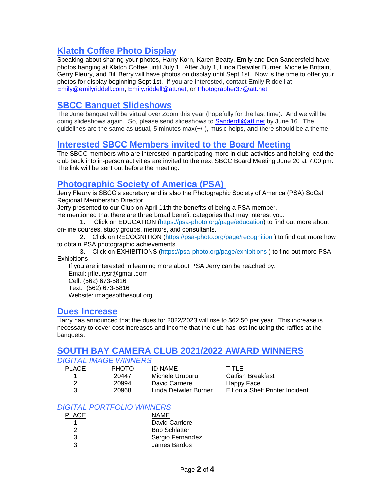## **Klatch Coffee Photo Display**

Speaking about sharing your photos, Harry Korn, Karen Beatty, Emily and Don Sandersfeld have photos hanging at Klatch Coffee until July 1. After July 1, Linda Detwiler Burner, Michelle Brittain, Gerry Fleury, and Bill Berry will have photos on display until Sept 1st. Now is the time to offer your photos for display beginning Sept 1st. If you are interested, contact Emily Riddell at [Emily@emilyriddell.com,](mailto:Emily@emilyriddell.com) [Emily.riddell@att.net,](mailto:Emily.riddell@att.net) or [Photographer37@att.net](mailto:Photographer37@att.net)

### **SBCC Banquet Slideshows**

The June banquet will be virtual over Zoom this year (hopefully for the last time). And we will be doing slideshows again. So, please send slideshows to [Sanderdl@att.net](mailto:Sanderdl@att.net) by June 16. The guidelines are the same as usual, 5 minutes max(+/-), music helps, and there should be a theme.

#### **Interested SBCC Members invited to the Board Meeting**

The SBCC members who are interested in participating more in club activities and helping lead the club back into in-person activities are invited to the next SBCC Board Meeting June 20 at 7:00 pm. The link will be sent out before the meeting.

## **Photographic Society of America (PSA)**

Jerry Fleury is SBCC's secretary and is also the Photographic Society of America (PSA) SoCal Regional Membership Director.

Jerry presented to our Club on April 11th the benefits of being a PSA member.

He mentioned that there are three broad benefit categories that may interest you:

1. Click on [EDUCATION](https://psa-photo.org/page/education) (https://psa-photo.org/page/education) to find out more about on-line courses, study groups, mentors, and consultants.

2. Click on [RECOGNITION](https://psa-photo.org/page/recognition) (https://psa-photo.org/page/recognition) to find out more how to obtain PSA photographic achievements.

3. Click on [EXHIBITIONS](https://psa-photo.org/page/exhibitions) (https://psa-photo.org/page/exhibitions ) to find out more PSA **Exhibitions** 

If you are interested in learning more about PSA Jerry can be reached by: Email: [jrfleurysr@gmail.com](mailto:jrfleurysr@gmail.com) Cell: (562) 673-5816 Text: (562) 673-5816 Website: [imagesofthesoul.org](http://imagesofthesoul.org/)

#### **Dues Increase**

Harry has announced that the dues for 2022/2023 will rise to \$62.50 per year. This increase is necessary to cover cost increases and income that the club has lost including the raffles at the banquets.

## **SOUTH BAY CAMERA CLUB 2021/2022 AWARD WINNERS**

#### *DIGITAL IMAGE WINNERS*

| <b>PLACE</b> | PHOTO | ID NAME               | TITLE                           |
|--------------|-------|-----------------------|---------------------------------|
|              | 20447 | Michele Uruburu       | Catfish Breakfast               |
|              | 20994 | David Carriere        | Happy Face                      |
| ર            | 20968 | Linda Detwiler Burner | Elf on a Shelf Printer Incident |
|              |       |                       |                                 |

#### *DIGITAL PORTFOLIO WINNERS*

| <b>PLACE</b> | <b>NAME</b>          |
|--------------|----------------------|
|              | David Carriere       |
| 2            | <b>Bob Schlatter</b> |
| 3            | Sergio Fernandez     |
| 3            | James Bardos         |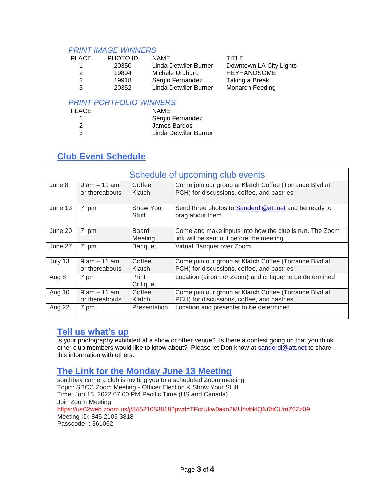#### *PRINT IMAGE WINNERS*

| <b>PLACE</b> | PHOTO ID | <b>NAME</b>           | TITLE                   |
|--------------|----------|-----------------------|-------------------------|
|              | 20350    | Linda Detwiler Burner | Downtown LA City Lights |
|              | 19894    | Michele Uruburu       | <b>HEYHANDSOME</b>      |
|              | 19918    | Sergio Fernandez      | Taking a Break          |
|              | 20352    | Linda Detwiler Burner | <b>Monarch Feeding</b>  |

#### *PRINT PORTFOLIO WINNERS*

| <b>PLACE</b> | <b>NAME</b>           |
|--------------|-----------------------|
|              | Sergio Fernandez      |
| 2            | James Bardos          |
| З            | Linda Detwiler Burner |

## **Club Event Schedule**

| Schedule of upcoming club events |                                   |                         |                                                                                                      |
|----------------------------------|-----------------------------------|-------------------------|------------------------------------------------------------------------------------------------------|
| June 8                           | $9$ am $-11$ am<br>or thereabouts | Coffee<br>Klatch        | Come join our group at Klatch Coffee (Torrance Blvd at<br>PCH) for discussions, coffee, and pastries |
| June 13                          | 7 pm                              | Show Your<br>Stuff      | Send three photos to Sanderd @att.net and be ready to<br>brag about them                             |
| June 20                          | 7 pm                              | <b>Board</b><br>Meeting | Come and make inputs into how the club is run. The Zoom<br>link will be sent out before the meeting  |
| June 27                          | 7 pm                              | Banquet                 | Virtual Banquet over Zoom                                                                            |
| July 13                          | $9$ am $-11$ am<br>or thereabouts | Coffee<br>Klatch        | Come join our group at Klatch Coffee (Torrance Blvd at<br>PCH) for discussions, coffee, and pastries |
| Aug 8                            | 7 pm                              | Print<br>Critique       | Location (airport or Zoom) and critiquer to be determined                                            |
| Aug 10                           | $9$ am $-11$ am<br>or thereabouts | Coffee<br>Klatch        | Come join our group at Klatch Coffee (Torrance Blvd at<br>PCH) for discussions, coffee, and pastries |
| Aug 22                           | 7 pm                              | Presentation            | Location and presenter to be determined                                                              |

## **Tell us what's up**

Is your photography exhibited at a show or other venue? Is there a contest going on that you think other club members would like to know about? Please let Don know at [sanderdl@att.net](mailto:sanderdl@att.net) to share this information with others.

## **The Link for the Monday June 13 Meeting**

southbay camera club is inviting you to a scheduled Zoom meeting. Topic: SBCC Zoom Meeting - Officer Election & Show Your Stuff Time: Jun 13, 2022 07:00 PM Pacific Time (US and Canada) Join Zoom Meeting <https://us02web.zoom.us/j/84521053818?pwd=TFcrUkw0ako2MUhvbklQN0hCUmZ6Zz09> Meeting ID: 845 2105 3818 Passcode: : 361062